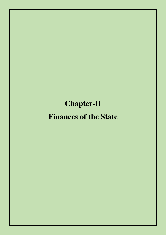# **Chapter-II**

# **Finances of the State**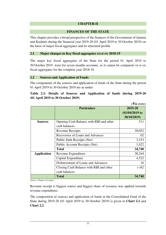## **CHAPTER-II**

#### **FINANCES OF THE STATE**

This chapter provides a broad perspective of the finances of the Government of Jammu and Kashmir during the financial year 2019-20 (01 April 2019 to 30 October 2019) on the basis of major fiscal aggregates and its structural profile.

#### **2.1 Major changes in Key fiscal aggregates** *vis-à-vis* **2018-19**

The major key fiscal aggregates of the State for the period 01 April 2019 to 30 October 2019 were for seven months accounts, so it cannot be compared *vis-à-vis* fiscal aggregates for the complete year 2018-19.

#### **2.2 Sources and Application of Funds**

The components of the sources and application of funds of the State during the period 01 April 2019 to 30 October 2019 are as under:

## **Table 2.1: Details of Sources and Application of funds during 2019-20 (01 April 2019 to 30 October 2019)**

*(*` *in crore)* 

|                    |                                         | $(5$ in crore)                              |
|--------------------|-----------------------------------------|---------------------------------------------|
|                    | <b>Particulars</b>                      | 2019-20<br>$(01/04/2019)$ to<br>30/10/2019) |
| <b>Sources</b>     | Opening Cash Balance with RBI and other | 511                                         |
|                    | cash balances                           |                                             |
|                    | <b>Revenue Receipts</b>                 | 30,052                                      |
|                    | Recoveries of Loans and Advances        | 02                                          |
|                    | Public Debt Receipts (Net)              | 3,153                                       |
|                    | Public Account Receipts (Net)           | 1,022                                       |
|                    | <b>Total</b>                            | 34,740                                      |
| <b>Application</b> | Revenue Expenditure                     | 30,244                                      |
|                    | Capital Expenditure                     | 4,522                                       |
|                    | Disbursement of Loans and Advances      | 16                                          |
|                    | Closing Cash Balance with RBI and other | $(-)42$                                     |
|                    | cash balances                           |                                             |
|                    | <b>Total</b>                            | 34,740                                      |

*Source: Finance Accounts* 

Revenue receipt is biggest source and biggest share of resource was applied towards revenue expenditure.

The composition of sources and application of funds in the Consolidated Fund of the State during 2019-20 (01 April 2019 to 30 October 2019) is given in **Chart 2.1** and **Chart 2.2**.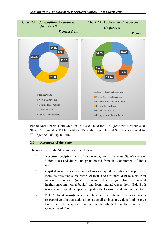

Public Debt Receipts and Grant-in- Aid accounted for 70.52 *per cent* of resources of State. Repayment of Public Debt and Expenditure on General Services accounted for 59.10 *per cent* of expenditure.

# **2.3 Resources of the State**

The resources of the State are described below:

- 1. **Revenue receipts** consist of tax revenue, non-tax revenue, State's share of Union taxes and duties and grants-in-aid from the Government of India (GoI).
- 2. **Capital receipts** comprise miscellaneous capital receipts such as proceeds from disinvestments, recoveries of loans and advances, debt receipts from internal sources (market loans, borrowings from financial institutions/commercial banks) and loans and advances from GoI. Both revenue and capital receipts form part of the Consolidated Fund of the State.
- 3. **Net Public Accounts receipts**: There are receipts and disbursements in respect of certain transactions such as small savings, provident fund, reserve funds, deposits, suspense, remittances, etc. which do not form part of the Consolidated Fund.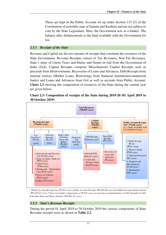These are kept in the Public Account set up under Section 115 (2) of the Constitution of erstwhile state of Jammu and Kashmir and are not subject to vote by the State Legislature. Here, the Government acts as a banker. The balance after disbursements is the fund available with the Government for use.

## *2.3.1 Receipts of the State*

Revenue and Capital are the two streams of receipts that constitute the resources of the State Government. Revenue Receipts consist of Tax Revenues, Non-Tax Revenues, State's share of Union Taxes and Duties and Grants-in-Aid from the Government of India (GoI). Capital Receipts comprise Miscellaneous Capital Receipts such as proceeds from Disinvestments, Recoveries of Loans and Advances, Debt Receipts from internal sources (Market Loans, Borrowings from financial institutions/commercial banks) and Loans and Advances from GoI as well as accruals from Public Account. **Chart 2.3** showing the composition of resources of the State during the current year are given below**.**





 *\*Public Accounts Receipts Net (*`*1,022 crore) =Public Accounts Receipts (*`*16,992.80 crore) less Public Accounts Disbursements (*`*15,970.45 crore) \*\*does not include compensation of* `*1,032 crore received due to implementation of GST (included in GIA) # Includes Ways and Means Advance (*`*14,803 .07 crore)* 

#### *2.3.2 State's Revenue Receipts*

During the period 01 April 2019 to 30 October 2019 the various components of State Revenue receipts were as shown in **Table 2.2**.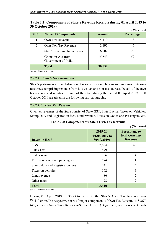|                |                                           |               | $( \bar{\mathbf{z}}$ in crore) |
|----------------|-------------------------------------------|---------------|--------------------------------|
| <b>Sl. No.</b> | <b>Name of Components</b>                 | <b>Amount</b> | <b>Percentage</b>              |
|                | Own Tax Revenue                           | 5,410         | 18                             |
| $\overline{2}$ | Own Non Tax Revenue                       | 2,197         |                                |
| 3              | State's share in Union Taxes              | 6,802         | 23                             |
| $\overline{4}$ | Grants-in-Aid from<br>Government of India | 15,643        | 52                             |
|                | <b>Total</b>                              | 30,052        |                                |

# **Table 2.2: Components of State's Revenue Receipts during 01 April 2019 to 30 October 2019)**

*Source: Finance Accounts* 

#### *2.3.2.1 State's Own Resources*

State's performance in mobilisation of resources should be assessed in terms of its own resources comprising revenue from its own tax and non-tax sources. Details of the own tax revenue and non-tax revenue of the State during the period 01 April 2019 to 30 October 2019 are given in the following sub-paragraphs.

## *2.3.2.1.1 Own Tax Revenue*

Own tax revenues of the State consist of State GST, State Excise, Taxes on Vehicles, Stamp Duty and Registration fees, Land revenue, Taxes on Goods and Passengers, etc.

| <b>Table 2.3: Components of State's Own Tax Revenue</b> |  |
|---------------------------------------------------------|--|
|---------------------------------------------------------|--|

|                                  |                                             | $( \bar{\mathbf{\xi}}$ in crore)                        |
|----------------------------------|---------------------------------------------|---------------------------------------------------------|
| <b>Revenue Head</b>              | 2019-20<br>$(01/04/2019)$ to<br>30/10/2019) | <b>Percentage to</b><br>total Own Tax<br><b>Revenue</b> |
| <b>SGST</b>                      | 2,604                                       | 48                                                      |
| Sales Tax                        | 879                                         | 16                                                      |
| State excise                     | 766                                         | 14                                                      |
| Taxes on goods and passengers    | 574                                         | 11                                                      |
| Stamp duty and Registration fees | 241                                         | 4                                                       |
| Taxes on vehicles                | 162                                         | 3                                                       |
| Land revenue                     | 86                                          | $\overline{2}$                                          |
| Other taxes                      | 98                                          | $\overline{2}$                                          |
| <b>Total</b>                     | 5,410                                       |                                                         |

*Source: Finance Accounts* 

During 01 April 2019 to 30 October 2019, the State's Own Tax Revenue was `5,410 crore.The respective share of major components of Own Tax Revenue is SGST (48 *per cent*), Sales Tax (16 *per cent*), State Excise (14 *per cent*) and Taxes on Goods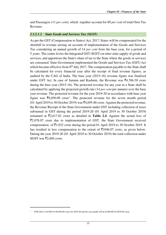and Passengers (11 *per cent*), which together account for 89 *per cent* of total Own Tax Revenue.

## *2.3.2.1.2 State Goods and Services Tax (SGST)*

As per the GST (Compensation to States) Act, 2017, States will be compensated for the shortfall in revenue arising on account of implementation of the Goods and Services Tax considering an annual growth of 14 *per cent* from the base year, for a period of 5 years. The centre levies the Integrated GST (IGST) on inter-state supply of goods and services, and apportions the State's share of tax to the State where the goods or services are consumed. State Government implemented the Goods and Services Tax (GST) Act which became effective from  $8<sup>th</sup>$  July 2017. The compensation payable to the State shall be calculated for every financial year after the receipt of final revenue figures, as audited by the CAG of India. The base year (2015-16) revenue figure was finalised under GST Act. In case of Jammu and Kashmir, the Revenue was  $\bar{z}4,766.30$  crore during the base year (2015-16). The protected revenue for any year in a State shall be calculated by applying the projected growth rate (14 *per cent* per annum) over the base year revenue. The protected revenue for the year 2019-20 in accordance with base year figure was  $\bar{\mathcal{R}}8,050.09$  crore<sup>1</sup>. The protected revenue for the seven month period (01 April 2019 to 30 October 2019) was  $\bar{c}4,695.88$  crore. Against the protected revenue, the Revenue Receipt of the State Government under GST including collection of taxes subsumed in GST during the period 2019-20 (01 April 2019 to 30 October 2019) remained at  $\overline{z}2,617.81$  crore as detailed in **Table 2.4**. Against the actual loss of  $\overline{z}2,078.07$  crore due to implementation of GST, the State Government received compensation of  $\bar{\mathfrak{E}}1,032$  crore during the period 01 April 2019 to 30 October 2019. It has resulted in less compensation to the extent of  $\overline{5}1046.07$  crore, as given below. During the year 2019-20 (01 April 2019 to 30 October 2019) the total collection under SGST was ₹2,604 crore.

<sup>1</sup> 4766.30x(1+14/100)^4=₹8,050.09 crore for 2019-20 and for one month will be 8,050.09/12=₹670.84 crore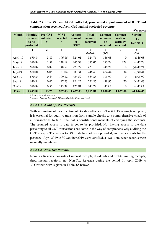| <b>Month</b> | <b>Monthly</b><br>revenue<br>to be<br>protected | Pre-GST<br>collected<br># | <b>SGST</b><br>collected<br>$\ast$ | <b>Apporti</b><br>onment<br><b>of</b><br>IGST* | <b>Total</b><br>amount<br>received | <b>Compen</b><br>sation to<br>be<br>received | <b>Compen</b><br>-sation<br>actually<br>received | $\overline{\mathcal{E}}$ in crore)<br><b>Surplus</b><br>$(+)$ /<br>Deficit(-) |
|--------------|-------------------------------------------------|---------------------------|------------------------------------|------------------------------------------------|------------------------------------|----------------------------------------------|--------------------------------------------------|-------------------------------------------------------------------------------|
|              | 1                                               | $\mathbf{2}$              | 3                                  | 4                                              | 5<br>$(2+3+4)$                     | 6<br>$(1-5)$                                 | 7                                                | 8<br>$(7-6)$                                                                  |
|              |                                                 |                           |                                    |                                                |                                    |                                              |                                                  |                                                                               |
| April-19     | 670.84                                          | 3.89                      | 196.86                             | 324.01                                         | 524.76                             | 146.08                                       | 0                                                | $(-)146.08$                                                                   |
| $May-19$     | 670.84                                          | 1.51                      | 148.18                             | 245.37                                         | 395.06                             | 275.78                                       | 228                                              | $(-)47.78$                                                                    |
| June-19      | 670.84                                          | 0.89                      | 148.52                             | 271.72                                         | 421.13                             | 249.71                                       | $\theta$                                         | $(-)249.71$                                                                   |
| $July-19$    | 670.84                                          | 6.05                      | 151.04                             | 89.31                                          | 246.40                             | 424.44                                       | 334                                              | $(-)90.44$                                                                    |
| Aug-19       | 670.84                                          | 0.44                      | 109.82                             | 454.59                                         | 564.85                             | 105.99                                       | $\theta$                                         | $(-)105.99$                                                                   |
| $Sep-19$     | 670.84                                          | 0.42                      | 97.23                              | 124.22                                         | 221.87                             | 448.97                                       | 470                                              | $(+)21.03$                                                                    |
| $Oct-19$     | 670.84                                          | 0.55                      | 115.38                             | 127.81                                         | 243.74                             | 427.1                                        | $\boldsymbol{0}$                                 | $(-)427.1$                                                                    |
| <b>Total</b> | 4,695.88                                        | 13.75                     | 967.03                             | 1,637.03                                       | 2,617.81                           | 2,078.07                                     | 1,032.00                                         | $(-)1,046.07$                                                                 |

**Table 2.4: Pre-GST and SGST collected, provisional apportionment of IGST and compensation received from GoI against protected revenue** 

*# Source: State Government* 

*\* Source : Finance Accounts/VLC data, (Includes Fines and Penalty)* 

# *2.3.2.1.3 Audit of GST Receipts*

With automation of the collection of Goods and Services Tax (GST) having taken place, it is essential for audit to transition from sample checks to a comprehensive check of all transactions, to fulfill the CAGs constitutional mandate of certifying the accounts. The required access to data is yet to be provided. Not having access to the data pertaining to all GST transactions has come in the way of comprehensively auditing the GST receipts. The access to GST data has not been provided, and the accounts for the period 01 April 2019 to 30 October 2019 were certified, as was done when records were manually maintained.

# *2.3.2.1.4 Non-Tax Revenue*

Non-Tax Revenue consists of interest receipts, dividends and profits, mining receipts, departmental receipts, etc. Non-Tax Revenue during the period 01 April 2019 to 30 October 2019 is given in **Table 2.5** below: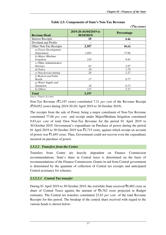$( \bar{\mathcal{E}}$ *in crore*)

| <b>Revenue Head</b>        | 2019-20 (01/04/2019 to<br>30/10/2019) | Percentage |
|----------------------------|---------------------------------------|------------|
| <b>Interest Receipts</b>   | 10                                    | 0.46       |
| Dividend and Profits       |                                       |            |
| Other Non-Tax Receipts     | 2,187                                 | 99.54      |
| a) Power Development       |                                       |            |
| Department                 | 1,693                                 | 77.06      |
| b) Major /Medium           |                                       |            |
| <i>Irrigation</i>          | 216                                   | 9.83       |
| $c$ ) Other Administrative |                                       |            |
| Services                   | 63                                    | 2.87       |
| d) Police                  | 39                                    | 1.78       |
| e) Non-ferrous mining      | 28                                    | 1.27       |
| f) Medical and Public      |                                       |            |
| Health                     | 17                                    | 0.77       |
| g) Water Supply and        |                                       |            |
| Sanitation                 | 16                                    | 0.73       |
| h) Others                  | 115                                   | 5.23       |
| <b>Total</b>               | 2,197                                 |            |

## **Table 2.5: Components of State's Non-Tax Revenue**

*Source: Finance Accounts* 

Non-Tax Revenue (`2,197 crore) constituted 7.31 *per cent* of the Revenue Receipt (`30,052 crore) during 2019-20 (01 April 2019 to 30 October 2019).

The receipts from the sale of Power, being a major constituent of Non-Tax Revenue constituted 77.06 *per cent* and receipt under Major/Medium Irrigation constituted 9.83 *per cent* of total Own Non-Tax Revenue for the period 01 April 2019 to 30 October 2019. Government's expenditure on Purchase of power during the period 01 April 2019 to 30 October 2019 was  $\overline{z}2,715$  crore, against which receipt on account of power was  $\bar{\mathcal{F}}$ 1,693 crore. Thus, Government could not recover even the expenditure incurred on purchase of power.

#### *2.3.2.2 Transfers from the Centre*

Transfers from Centre are heavily dependent on Finance Commission recommendations. State's share in Central taxes is determined on the basis of recommendations of the Finance Commission. Grants-in-aid from Central government is determined by the quantum of collection of Central tax receipts and anticipated Central assistance for schemes.

# *2.3.2.2.1 Central Tax transfer*

During 01 April 2019 to 30 October 2019, the erstwhile State received  $\bar{\epsilon}$ 6,802 crore as share of Central Taxes against the amount of  $\overline{56,762}$  crore projected in Budget estimates. The Central tax transfers constituted 22.63 *per cent* of the total Revenue Receipts for this period. The breakup of the central share received with regard to the various heads is shown below: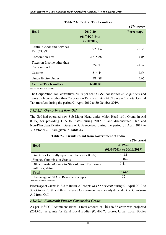|                                                 |                                             | $( \bar{\mathbf{\xi}}$ in crore) |
|-------------------------------------------------|---------------------------------------------|----------------------------------|
| <b>Head</b>                                     | 2019-20<br>$(01/04/2019)$ to<br>30/10/2019) | <b>Percentage</b>                |
| <b>Central Goods and Services</b><br>Tax (CGST) | 1,929.04                                    | 28.36                            |
| Corporation Tax                                 | 2,315.88                                    | 34.05                            |
| Taxes on Income other than<br>Corporation Tax   | 1,657.57                                    | 24.37                            |
| Customs                                         | 514.44                                      | 7.56                             |
| <b>Union Excise Duties</b>                      | 384.88                                      | 5.66                             |
| <b>Central Tax transfers</b>                    | 6,801.81                                    |                                  |

**Table 2.6: Central Tax Transfers** 

*Source : Finance Accounts*

The Corporation Tax constitutes 34.05 per cent, CGST constitutes 28.36 *per cent* and Taxes on Income other than Corporation Tax constitutes 24.37 *per cent* of total Central Tax transfers during the period 01 April 2019 to 30 October 2019.

# *2.3.2.2.2 Grants-in-aid from GoI*

The GoI had operated new Sub-Major Head under Major Head-1601 Grants-in-Aid (GIA) for providing GIA to States during 2017-18 and discontinued Plan and Non-Plan classification. Details of GIA received during the period 01 April 2019 to 30 October 2019 are given in **Table 2.7**.

|                                                                        | $( \bar{\mathbf{\mathcal{F}}}$ in crore) |
|------------------------------------------------------------------------|------------------------------------------|
| <b>Head</b>                                                            | 2019-20<br>$(01/04/2019)$ to 30/10/2019) |
|                                                                        |                                          |
| Grants for Centrally Sponsored Schemes (CSS)                           | 4,181                                    |
| <b>Finance Commission Grants</b>                                       | 10,048                                   |
| Other transfers/Grants to States/Union Territories<br>with Legislature | 1,414                                    |
| <b>Total</b>                                                           | 15,643                                   |
| Percentage of GIA to Revenue Receipts                                  | 52                                       |

# **Table 2.7: Grants-in-aid from Government of India**

*Source: Finance Accounts* 

Percentage of Grants-in-Aid to Revenue Receipts was 52 *per cent* during 01 April 2019 to 30 October 2019, and thus the State Government was heavily dependent on Grants-in-Aid from GoI.

# *2.3.2.2.3 Fourteenth Finance Commission Grants*

As per 14<sup>th</sup> FC Recommendations, a total amount of  $\bar{z}$ 6,178.37 crore was projected (2015-20) as grants for Rural Local Bodies ( $\overline{(}3,463.73$  crore), Urban Local Bodies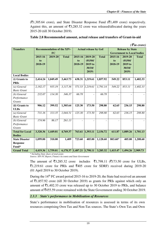$( \bar{\mathbf{z}}$  *in crore*)

 $(\overline{5}1,305.64 \text{ core})$ , and State Disaster Response Fund  $(\overline{5}1,409 \text{ core})$  respectively. Against this, an amount of  $\overline{53,285.32}$  crore was released/allocated during the years 2015-20 (till 30 October 2019).

| <b>Transfers</b>       |           | <b>Recommendation of the XIV-</b> |                   |         | <b>Actual release by GoI</b> |                          |                                   | <b>Release by State</b> |              |
|------------------------|-----------|-----------------------------------|-------------------|---------|------------------------------|--------------------------|-----------------------------------|-------------------------|--------------|
|                        | <b>FC</b> |                                   |                   |         |                              |                          | <b>Government to Local bodies</b> |                         |              |
|                        | 2015-16   | 2019-20                           | <b>Total</b>      | 2015-16 | 2019-20                      | <b>Total</b>             | 2015-16                           | 2019-20                 | <b>Total</b> |
|                        | to        |                                   |                   | to      | (01/04/                      |                          | to                                | (01/04/                 |              |
|                        | 2018-19   |                                   |                   | 2018-19 | 2019 to                      |                          | 2018-19                           | 2019 to                 |              |
|                        |           |                                   |                   |         | 30/10/                       |                          |                                   | 30/10/                  |              |
|                        |           |                                   |                   |         | 2019)                        |                          |                                   | 2019)                   |              |
| <b>Local Bodies</b>    |           |                                   |                   |         |                              |                          |                                   |                         |              |
| (i) Grants to          | 2,414.24  | 1,049.49                          | 3,463.73          | 638.31  | 1,219.61                     | 1,857.92                 | 549.22                            | 853.11                  | 1,402.33     |
| <b>PRIs</b>            |           |                                   |                   |         |                              |                          |                                   |                         |              |
| (a) General            | 2,182.17  | 935.19                            | 3,117.36          | 571.53  | 1,219.61                     | 1,791.14                 | 549.22                            | 853.11                  | 1,402.33     |
| <b>Basic Grant</b>     |           |                                   |                   |         |                              |                          |                                   |                         |              |
| (b) General            | 232.07    | 114.30                            | 346.37            | 66.78   |                              | 66.78                    |                                   |                         |              |
| Performance            |           |                                   |                   |         |                              |                          |                                   |                         |              |
| <b>Grants</b>          |           |                                   |                   |         |                              |                          |                                   |                         |              |
| (ii) Grants to         | 906.12    | 399.52                            | 1,305.64          | 125.30  | 173.50                       | 298.80                   | 62.65                             | 236.15                  | 298.80       |
| <b>ULBs</b>            |           |                                   |                   |         |                              |                          |                                   |                         |              |
| (a) General            | 731.16    | 313.35                            | 1,044.51          | 125.30  | 173.50                       | 298.80                   | 62.65                             | 236.15                  | 298.80       |
| <b>Basic Grant</b>     |           |                                   |                   |         |                              |                          |                                   |                         |              |
| (b) General            | 174.96    | 86.17                             | 261.13            |         |                              | $\overline{\phantom{a}}$ | ٠                                 |                         |              |
| Performance            |           |                                   |                   |         |                              |                          |                                   |                         |              |
| <b>Grants</b>          |           |                                   |                   |         |                              |                          |                                   |                         |              |
| <b>Total for Local</b> | 3,320.36  | 1,449.01                          | 4,769.37          | 763.61  | 1,393.11                     | 2,156.72                 | 611.87                            | 1,089.26                | 1,701.13     |
| <b>Bodies</b>          |           |                                   |                   |         |                              |                          |                                   |                         |              |
| <b>State Disaster</b>  | 1,099.00  | 310.00                            | 1,409             | 723.60  | 405.00                       | 1,128.60                 | 803.60*                           | 405.00                  | 1,208.60     |
| <b>Response</b>        |           |                                   |                   |         |                              |                          |                                   |                         |              |
| Fund*                  |           |                                   |                   |         |                              |                          |                                   |                         |              |
| <b>Grand Total</b>     | 4,419.36  | 1,759.01                          | 6,178.37 1,487.21 |         | 1,798.11                     | 3,285.32                 | 1,415.47                          | 1,494.26                | 2,909.73     |

#### **Table 2.8 Recommended amount, actual release and transfers of Grant-in-aid**

*\* Including State share of total grant.* 

*Source: XIV-FC Report, Finance Accounts and State Government* 

The amount of  $\overline{5}3,285.32$  crore includes  $\overline{5}1,798.11$  ( $\overline{5}173.50$  crore for ULBs,  $\text{\textsterling}1,219.61$  crore for PRIs and  $\text{\textsterling}405$  crore for SDRF) received during 2019-20 (01 April 2019 to 30 October 2019).

During the 14<sup>th</sup> FC award period 2015-16 to 2019-20, the State had received an amount of  $\bar{\mathfrak{e}}1,857.92$  crore (till 30 October 2019) as grants for PRIs against which only an amount of  $\bar{\mathcal{F}}1,402.33$  crore was released up to 30 October 2019 to PRIs, and balance amount of ₹455.59 crore remained with the State Government ending 30 October 2019.

#### *2.3.3 State's performance in Mobilisation of Resources*

State's performance in mobilisation of resources is assessed in terms of its own resources comprising Own Tax and Non-Tax sources. The State's Own Tax and Own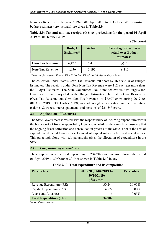Non-Tax Receipts for the year 2019-20 (01 April 2019 to 30 October 2019) *vis-à-vis* budget estimates (pre- actuals) are given in **Table 2.9**:

# **Table 2.9: Tax and non-tax receipts** *vis-à-vis* **projections for the period 01 April 2019 to 30 October 2019**

|                        | <b>Budget</b><br>Estimates* | <b>Actual</b> | Percentage variation of<br>actual over Budget<br>estimates* |
|------------------------|-----------------------------|---------------|-------------------------------------------------------------|
| <b>Own Tax Revenue</b> | 6,427                       | 5,410         | $(-)16$                                                     |
| <b>Non-Tax Revenue</b> | 1,036                       | 2,197         | $(+)112$                                                    |

*(*` *in crore)* 

*\*Pre-actuals for the period 01 April 2019 to 30 October 2019 reflected in Budget for the year 2020-21.* 

The collection under State's Own Tax Revenue fell short by 16 *per cent* of Budget Estimates. The receipts under Own Non-Tax Revenue were 112 *per cent* more than the Budget Estimates. The State Government could not achieve its own targets for Own Tax revenue projected in the Budget Estimates. The State's Own Resources (Own Tax Revenue and Own Non-Tax Revenue) of  $\overline{57,607}$  crore during 2019-20 (01 April 2019 to 30 October 2019), was not enough to cover its committed liabilities (salaries & wages, interest payments and pension) of  $\overline{5}21,345$  crore.

## **2.4 Application of Resources**

The State Government is vested with the responsibility of incurring expenditure within the framework of fiscal responsibility legislations, while at the same time ensuring that the ongoing fiscal correction and consolidation process of the State is not at the cost of expenditure directed towards development of capital infrastructure and social sector. This paragraph along with sub-paragraphs gives the allocation of expenditure in the State.

# *2.4.1 Composition of Expenditure*

The composition of the total expenditure of  $\overline{3}34,782$  crore incurred during the period 01 April 2019 to 30 October 2019, is shown in **Table 2.10** below:

| <b>Parameters</b>             | 2019-20 (01/04/2019 to<br>30/10/2019)<br>$(\bar{\mathcal{F}}$ in crore) | <b>Percentage</b> |
|-------------------------------|-------------------------------------------------------------------------|-------------------|
| Revenue Expenditure (RE)      | 30,244                                                                  | 86.95%            |
| Capital Expenditure (CE)      | 4,522                                                                   | 13.00%            |
| Loans and Advances            | 16                                                                      | 0.05%             |
| <b>Total Expenditure (TE)</b> | 34,782                                                                  |                   |

| Table 2.10: Total expenditure and its composition |  |  |
|---------------------------------------------------|--|--|
|---------------------------------------------------|--|--|

*Source : Finance Accounts*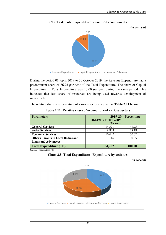

**Chart 2.4: Total Expenditure: share of its components** 

During the period 01 April 2019 to 30 October 2019, the Revenue Expenditure had a predominant share of 86.95 *per cent* of the Total Expenditure. The share of Capital Expenditure in Total Expenditure was 13.00 *per cent* during the same period. This indicates that less share of resources are being used towards development of infrastructure.

The relative share of expenditure of various sectors is given in **Table 2.11** below:

| <b>Parameters</b>                         | 2019-20                                                | <b>Percentage</b> |
|-------------------------------------------|--------------------------------------------------------|-------------------|
|                                           | $(01/04/2019$ to 30/10/2019)<br>$\left( \xi$ in crore) |                   |
|                                           |                                                        |                   |
| <b>General Services</b>                   | 14,521                                                 | 41.75             |
| <b>Social Services</b>                    | 9,803                                                  | 28.18             |
| <b>Economic Services</b>                  | 10,442                                                 | 30.02             |
| <b>Others (Grants to Local Bodies and</b> | 16                                                     | 0.05              |
| <b>Loans and Advances</b> )               |                                                        |                   |
| <b>Total Expenditure (TE)</b>             | 34,782                                                 | 100.00            |

**Table 2.11: Relative share of expenditure of various sectors** 

*Source: Finance Accounts* 



*(in per cent)* 

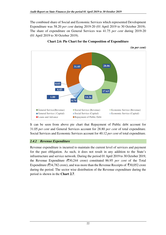The combined share of Social and Economic Services which represented Development Expenditure was 58.20 *per cent* during 2019-20 (01 April 2019 to 30 October 2019). The share of expenditure on General Services was 41.75 *per cent* during 2019-20 (01 April 2019 to 30 October 2019).





It can be seen from above pie chart that Repayment of Public debt account for 31.05 *per cent* and General Services account for 28.80 *per cent* of total expenditure. Social Services and Economic Services account for 40.12 *per cent* of total expenditure.

# *2.4.2 Revenue Expenditure*

Revenue expenditure is incurred to maintain the current level of services and payment for the past obligation. As such, it does not result in any addition to the State's infrastructure and service network. During the period 01 April 2019 to 30 October 2019, the Revenue Expenditure ( $\overline{(}30,244)$  crore) constituted 86.95 *per cent* of the Total Expenditure ( $\overline{3}34,782$  crore), and was more than the Revenue Receipts of  $\overline{3}30,052$  crore during the period. The sector wise distribution of the Revenue expenditure during the period is shown in the **Chart 2.7**.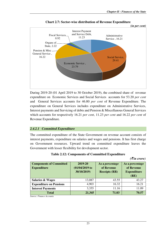

**Chart 2.7: Sector-wise distribution of Revenue Expenditure** 

During 2019-20 (01 April 2019 to 30 October 2019), the combined share of revenue expenditure on Economic Services and Social Services accounts for 53.20 *per cent* and General Services accounts for 46.80 *per cent* of Revenue Expenditure. The expenditure on General Services includes expenditure on Administrative Services, Interest payments and Servicing of debts and Pension & Miscellanous General Services which accounts for respectively 16.21 *per cent*, 11.23 *per cent* and 16.22 *per cent* of Revenue Expenditure.

#### *2.4.2.1 Committed Expenditure*

The committed expenditure of the State Government on revenue account consists of interest payments, expenditure on salaries and wages and pensions. It has first charge on Government resources. Upward trend on committed expenditure leaves the Government with lesser flexibility for development sector.

| <b>Table 2.12: Components of Committed Expenditure</b> |  |  |
|--------------------------------------------------------|--|--|
|--------------------------------------------------------|--|--|

*(*` *in crore)* 

| <b>Components of Committed</b><br><b>Expenditure</b> | 2019-20<br>$(01/04/2019)$ to<br>30/10/2019) | As a percentage<br>of Revenue<br><b>Receipts (RR)</b> | As a percentage<br>of Revenue<br><b>Expenditure</b><br>(RE) |
|------------------------------------------------------|---------------------------------------------|-------------------------------------------------------|-------------------------------------------------------------|
| <b>Salaries &amp; Wages</b>                          | 13,087                                      | 43.55                                                 | 43.27                                                       |
| <b>Expenditure on Pensions</b>                       | 4,903                                       | 16.32                                                 | 16.21                                                       |
| <b>Interest Payments</b>                             | 3,355                                       | 11.16                                                 | 11.09                                                       |
| <b>Total</b>                                         | 21,345                                      | 71.03                                                 | 70.57                                                       |

*Source: Finance Accounts*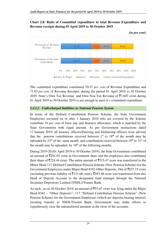# **Chart 2.8: Ratio of Committed expenditure in total Revenue Expenditure and Revenue receipts during 01 April 2019 to 30 October 2019**



*(in per cent)* 

The committed expenditure constituted 70.57 *per cent* of Revenue Expenditure and 71.03 *per cent* of Revenue Receipts, during the period 01 April 2019 to 30 October 2019. State's Own Tax Revenue and Own Non Tax Revenue of  $\overline{57,607}$  crore during 01 April 2019 to 30 October 2019 is not enough to meet it's committed expenditure.

# *2.4.2.2 Undischarged liabilities in National Pension System*

In terms of the Defined Contribution Pension Scheme, the State Government Employees recruited on or after 1 January 2010 who are covered by the Scheme contribute 10 *per cent* of basic pay and dearness allowance, which is matched by the State Government with equal amount. As per Government instructions dated 17 January 2019, all treasury officers/Drawing and Disbursing officers were advised that the pension contributions received between  $1<sup>st</sup>$  to  $18<sup>th</sup>$  of the month may be uploaded by  $23<sup>rd</sup>$  of the same month and contributions received between  $19<sup>th</sup>$  to  $31<sup>st</sup>$  of the month may be uploaded by  $10<sup>th</sup>$  of the following months.

During 2019-20 (01 April 2019 to 30 October 2019), the State Government contributed an amount of  $\bar{\mathfrak{Z}}291.03$  crore as Government share and the employees also contributed their share of  $\overline{5}224.44$  crore. The entire amount of  $\overline{5}515.47$  crore was transferred to the Minor Head 117-Defined Contribution Pension Scheme (New Pension Scheme) for the Government Employees under Major Head 8342-Other Deposits. Out of  $\overline{5}637.15$  crore (including previous liability of  $\bar{\bar{\xi}}$ 121.68 crore),  $\bar{\bar{\xi}}$ 583.48 crore was transferred from this Head of Deposit Account to the designated fund manager through the National Securities Depository Limited (NSDL)/Trustee Bank.

As such, as on 30 October 2019, an amount of  $\overline{5}3.67$  crore was lying under the Major Head-8342 – "Other Deposits"- 117 "Defined Contribution Pension Scheme" (New Pension Scheme) for the Government Employees (which are deposits bearing interest) awaiting transfer to NSDL/Trustee Bank. Government may make efforts to expeditiously clear the untransferred amounts at the close of the accounts.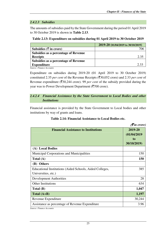## *2.4.2.3 Subsidies*

The amounts of subsidies paid by the State Government during the period 01 April 2019 to 30 October 2019 is shown in **Table 2.13**.

## **Table 2.13: Expenditure on subsidies during 01 April 2019 to 30 October 2019**

|                                             | 2019-20 (01/04/2019 to 30/10/2019) |
|---------------------------------------------|------------------------------------|
| Subsidies $(\overline{\zeta}$ in crore)     |                                    |
| <b>Subsidies as a percentage of Revenue</b> |                                    |
| <b>Receipts</b>                             | 2.35                               |
| <b>Subsidies as a percentage of Revenue</b> |                                    |
| <b>Expenditure</b>                          | 2.33                               |

*Source- Finance Accounts* 

Expenditure on subsidies during 2019-20 (01 April 2019 to 30 October 2019) constituted 2.35 *per cent* of the Revenue Receipts (`30,052 crore) and 2.33 *per cent* of Revenue expenditure ( $\overline{(}30,244)$  crore). 99 *per cent* of the subsidy provided during the year was to Power Development Department ( $\overline{\mathfrak{F}}$ 700 crore).

# *2.4.2.4 Financial Assistance by the State Government to Local Bodies and other Institutions*

Financial assistance is provided by the State Government to Local bodies and other institutions by way of grants and loans.

|                                                                                 | $\sqrt{\tau}$ in crore)                     |
|---------------------------------------------------------------------------------|---------------------------------------------|
| <b>Financial Assistance to Institutions</b>                                     | 2019-20<br>(01/04/2019<br>to<br>30/10/2019) |
| (A) Local Bodies                                                                |                                             |
| <b>Municipal Corporations and Municipalities</b>                                | 150                                         |
| Total $(A)$                                                                     | 150                                         |
| (B) Others                                                                      |                                             |
| Educational Institutions (Aided Schools, Aided Colleges,<br>Universities, etc.) | 385                                         |
| <b>Development Authorities</b>                                                  | 28                                          |
| Other Institutions                                                              | 634                                         |
| Total (B)                                                                       | 1,047                                       |
| Total $(A+B)$                                                                   | 1,197                                       |
| Revenue Expenditure                                                             | 30,244                                      |
| Assistance as percentage of Revenue Expenditure                                 | 3.96                                        |
| Source: Finance Accounts                                                        |                                             |

## **Table 2.14: Financial Assistance to Local Bodies etc.**

*Source: Finance Accounts*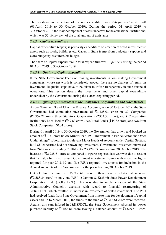The assistance as percentage of revenue expenditure was 3.96 *per cent* in 2019-20 (01 April 2019 to 30 October 2019). During the period 01 April 2019 to 30 October 2019, the major component of assistance was to the educational institutions, which was 32.16 *per cent* of the total amount of assistance.

# *2.4.3 Capital Expenditure*

Capital expenditure (capex) is primarily expenditure on creation of fixed infrastructure assets such as roads, buildings etc. Capex in State is met from budgetary support and extra budgetary resources/off budget.

The share of Capital expenditure in total expenditure was 13 *per cent* during the period 01 April 2019 to 30 October 2019.

# *2.4.3.1 Quality of Capital Expenditure*

If the State Government keeps on making investments in loss making Government companies, whose net worth is completely eroded, there are no chances of return on investment. Requisite steps have to be taken to infuse transparency in such financial operations. This section details the investments and other capital expenditure undertaken by the Government during the current reporting period.

# *2.4.3.2 Quality of Investments in the Companies, Corporations and other Bodies*

As per Statement 8 and 19 of the Finance Accounts, as on 30 October 2019, the State Government had cumulative investment of  $\overline{5}3,428.03$  crore in 37 Companies  $(\overline{\mathfrak{F}}2,959.71$ crore), three Statutory Corporations ( $\overline{\mathfrak{F}}374.33$  crore), eight Co-operative Institutions/ Local Bodies ( $\overline{(}47.83$  crore), two Rural Banks ( $\overline{(}45.82$  crore) and two Joint Stock Companies (₹0.34 crore).

During 01 April 2019 to 30 October 2019, the Government has drawn and booked an amount of  $\bar{\tau}$  1.51 crore below Minor Head-190-"Investment in Public Sector and Other Undertakings" subordinate to relevant Major Heads of Account under Capital Section, but PSU concerned had not shown any investment. Government investment increased from  $\bar{5689.42}$  crore ending 2018-19 to  $\bar{53.428.03}$  crore ending 30 October 2019. The increase of  $\bar{\mathcal{F}}2,738.61$  crore as compared to figures reported last year was due to reason that 19 PSUs furnished revised Government investment figures with respect to figure reported for year 2018-19 and five PSUs reported investments for inclusion in the Annual Accounts of the Government for the period ending 30 October 2019.

Out of this increase of  $\overline{z}2,738.61$  crore, there was a substantial increase (`2,588.34 crore) in only one PSU i.e Jammu & Kashmir State Power Development Corporation Ltd. (J&KSPDCL). This was due to implementation of the State Administrative Council's decision with regard to financial restructuring of J&KSPDCL, which resulted in increase in investment of State Government. The PSU had received funds from State Government from time to time for development of capital assets and up to March 2018, the funds to the tune of  $\overline{5}5,318.61$  crore were received. Against this sum infused in J&KSPDCL, the State Government adjusted its power purchase liability of  $\overline{53,668.81}$  crore leaving a balance amount of  $\overline{51,649.80}$  Crore.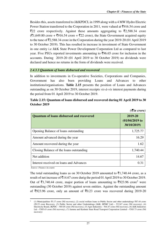Besides this, assets transferred to J&KPDCL in 1999 along with a 4 MW Hydro Electric Power Station transferred to the Corporation in 2011, were valued at  $\overline{5}916.54$  crore and  $\overline{\xi}$ 22 crore respectively. Against these amounts aggregating to  $\overline{\xi}$ 2,588.34 crore  $(\overline{\mathfrak{F}}1,649.80$  crore +  $\overline{\mathfrak{F}}916.54$  crore +  $\overline{\mathfrak{F}}22$  crore), the State Government acquired equity to the tune of  $\overline{5}2,588.34$  crore in the Corporation during the year 2019-20 (01 April 2019) to 30 October 2019). This has resulted in increase in investment of State Government in one entity i.e J&K State Power Development Corporation Ltd as compared to last year. Five PSUs reported investments amounting to  $\overline{596.65}$  crore for inclusion in the accounts. During 2019-20 (01 April 2019 to 30 October 2019) no dividends were declared and hence no returns in the form of dividends were received.

## *2.4.3.3 Quantum of loans disbursed and recovered*

In addition to investments in Co-operative Societies, Corporations and Companies, Government has also been providing Loans and Advances to other institutions/organisations. **Table 2.15** presents the position of Loans and Advances outstanding as on 30 October 2019, interest receipts *vis-à-vis* interest payments during the period from 01 April 2019 to 30 October 2019.

|                                                 | $( \bar{\mathbf{\xi}}$ in crore)            |
|-------------------------------------------------|---------------------------------------------|
| <b>Quantum of loans disbursed and recovered</b> | 2019-20<br>$(01/04/2019)$ to<br>30/10/2019) |
| Opening Balance of loans outstanding            | 1,725.77                                    |
| Amount advanced during the year                 | 16.29                                       |
| Amount recovered during the year                | 1.62                                        |
| Closing Balance of the loans outstanding        | 1,740.44                                    |
| Net addition                                    | 14.67                                       |
| Interest received on loans and Advances         | 0.31                                        |

| Table 2.15: Quantum of loans disbursed and recovered during 01 April 2019 to 30 |
|---------------------------------------------------------------------------------|
| October 2019                                                                    |

*Source: Finance Accounts* 

 $\overline{a}$ 

The total outstanding loans as on 30 October 2019 amounted to  $\bar{\mathfrak{c}}$ 1,740.44 crore, as a result of net increase of  $\overline{5}14.67$  crore durig the period 01 April 2019 to 30 October 2019. Out of ₹1,740.44 crore, major portion of loans amounting to ₹923.96 crore<sup>2</sup> were outstanding (30 October 2019) against seven entities. Against the outstanding amount of  $\overline{5}923.96$  crore, only an amount of  $\overline{5}0.23$  crore was recovered during 2019-20

<sup>2</sup> (1) Municipalities ₹5.17 crore (Nil recovery), (2) social welfare loans to Public Sector and other undertakings ₹87.44 crore (₹0.23 crore Recovery, (3) Public Sector and other Undertakings (J&K, HPMC Ltd) – ₹12.67 crore (Nil recovery), (4) Electricity Board, JKPDC – ₹85.05 crore (Nil recovery), (5) Agro Industries – ₹44.47 crore (Nil recovery), (6) J&K Industries Ltd – ₹305.43 crore (Nil recovery), (7) Jammu and Kashmir State Road Transport Corporation Limited – ₹383.73 crore (Nil recovery)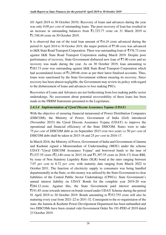(01 April 2019 to 30 October 2019). Recovery of loans and advances during the year was only 0.09 *per cent* of outstanding loans. The poor recovery of loan has resulted in an increase in outstanding balances from  $\bar{\tau}$ 1,725.77 crore on 31 March 2019 to  $\bar{5}1,740.44$  crore on 30 October 2019.

It is observed that out of the total loan amount of  $\bar{\tau}$ 16.29 crore advanced during the period 01 April 2019 to 30 October 2019, the major portion of  $\overline{57.00}$  crore was advanced to J&K State Road Transport Corporation. There was outstanding loan of  $\overline{5}376.73$  crore against J&K State Road Transport Corporation ending March 2019. Despite poor performance of recovery, State Government disbursed new loan of  $\overline{57.00}$  crore and no recovery was made during the year. As on 30 October 2019, loan amounting to `383.73 crore was outstanding against J&K State Road Transport Corporation which had accumulated losses of  $\bar{\mathfrak{c}}$ 1,289.66 crore as per their latest finalised accounts. Thus, loans were sanctioned by the State Government without ensuring its recovery. Since recovery has been almost negligible, the Government may review its policy with regard to the disbursement of loans and advances to loss making PSUs.

Recoveries of Loans and Advances are not forthcoming from loss making public sector undertakings. No assessment about potential recoverability of these loans has been made in the FRBM Statements presented to the Legislature.

# *2.4.3.4 Implementation of Ujwal Discom Assurance Yojana (UDAY)*

With the objective of ensuring financial turnaround of Power Distribution Companies (DISCOM), the Ministry of Power, Government of India (GoI) introduced (November 2015) the Ujwal Discom Assurance Yojana (UDAY) to improve the operational and financial efficiency of the State DISCOM. States were to take 75 *per cent* of DISCOM debt as on September 2015 over two years i.e 50 *per cent* of DISCOM debt shall be taken in 2015-16 and 25 *per cent* in 2016-17.

In March 2016, the Ministry of Power, Government of India and Government of Jammu and Kashmir signed a Memorandum of Understanding (MOU) under the scheme UDAY-"Ujwal DISCOM Assurance Yojana" and borrowed funds to the tune of  $\overline{53,537.55}$  crore ( $\overline{52,140}$  crore in 2015-16 and  $\overline{51,397.55}$  crore in 2016-17) from RBI, by issue of Non Statutory Liquidity Ratio (SLR) bond at the rates ranging between 7.07 *per cent* to 8.72 *per cent,* with maturity date ranging from March 2022 to October 2031. The function of electricity supply to consumers was being handled departmentally in the State, so this money was utilised by the State Government to clear liabilities of the Central Public Sector Undertakings (CPSUs). State Government's annual interest liability on UDAY Bonds for the complete year 2019-20 was  $\overline{5}284.12$  crore. Against this, the State Government paid interest amounting `191.85 crore towards interest on bonds issued under UDAY Scheme during the period 01 April 2019 to 30 October 2019. Bonds amounting to  $\overline{5}353.755$  crore will also be maturing every year from 2021-22 to 2031-32. Consequent to the re-organistaion of the state, the Jammu & Kashmir Power Develpoment Department has been unbundled and two DISCOMs have been created vide Government Order No 191-PDD of 2019 dated 23 October 2019.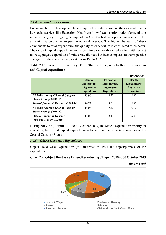# *2.4.4. Expenditure Priorities*

Enhancing human development levels require the States to step up their expenditure on key social services like Education, Health etc. Low fiscal priority (ratio of expenditure under a category to aggregate expenditure) is attached to a particular sector, if the allocation is below the respective national average. The higher the ratio of these components to total expenditure, the quality of expenditure is considered to be better. The ratio of capital expenditure and expenditure on health and education with respect to the aggregate expenditure for the erstwhile state has been compared to the respective averages for the special category states in **Table 2.16**.

# **Table 2.16: Expenditure priority of the State with regards to Health, Education and Capital expenditure**

|                                                                        |                                                                   |                                                                            | (in per cent)                                                           |
|------------------------------------------------------------------------|-------------------------------------------------------------------|----------------------------------------------------------------------------|-------------------------------------------------------------------------|
|                                                                        | Capital<br><b>Expenditure</b><br>/Aggregate<br><b>Expenditure</b> | <b>Education</b><br>Expenditure/<br><b>Aggregate</b><br><b>Expenditure</b> | <b>Health</b><br>Expenditure/<br><b>Aggregate</b><br><b>Expenditure</b> |
| <b>All India Average/ Special Category</b><br>States Average (2015-16) | 13.96                                                             | 18.32                                                                      | 5.95                                                                    |
| State of Jammu & Kashmir (2015-16)                                     | 16.72                                                             | 15.06                                                                      | 5.95                                                                    |
| <b>All India Average/ Special Category</b><br>States Average (2019-20) | 14.08                                                             | 17.42                                                                      | 6.19                                                                    |
| State of Jammu & Kashmir<br>$(01/04/2019$ to $30/10/2019)$             | 13.00                                                             | 13.11                                                                      | 6.02                                                                    |

During 2019-20 (01April 2019 to 30 October 2019) the State's expenditure priority on education, health and capital expenditure is lower than the respective averages of the Special Category States.

#### *2.4.5 Object Head wise Expenditure*

Object Head wise Expenditure give information about the object/purpose of the expenditure.

# **Chart 2.9: Object Head wise Expenditure during 01 April 2019 to 30 October 2019**

*(in per cent)* 

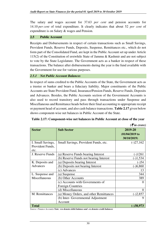The salary and wages account for 37.63 *per cent* and pension accounts for 14.10 *per cent* of total expenditure. It clearly indicates that about 52 *per cent* of expenditure is on Salary & wages and Pension.

## **2.5 Public Account**

Receipts and Disbursements in respect of certain transactions such as Small Savings, Provident Funds, Reserve Funds, Deposits, Suspense, Remittances etc., which do not form part of the Consolidated Fund, are kept in the Public Account set up under Article 115(2) of the Constitution of erstwhile State of Jammu & Kashmir and are not subject to vote by the State Legislature. The Government acts as a banker in respect of these transactions. The balance after disbursements during the year is the fund available with the Government for use for various purposes.

## *2.5.1 Net Public Account Balances*

In respect of sums credited to the Public Accounts of the State, the Government acts as a trustee or banker and bears a fiduciary liability. Major constituents of the Public Accounts are State Provident Fund, Insurance/Pension Funds, Reserve Funds, Deposits and Advances. Besides, the Public Accounts section of the Government Accounts is also used to record transitory and pass through transactions under Suspense and Miscellaneous and Remittance heads before their final accounting to appropriate receipt or payment head of account, and also cash balance transactions. **Table 2.17** given below shows component-wise net balances in Public Account of the State.

|                                               |                                         | (Sun crore)                                 |
|-----------------------------------------------|-----------------------------------------|---------------------------------------------|
| <b>Sector</b>                                 | <b>Sub Sector</b>                       | 2019-20<br>$(01/04/2019)$ to<br>30/10/2019) |
| I. Small Savings,<br>Provident Funds,<br>etc. | Small Savings, Provident Funds, etc.    | $(-)27,162$                                 |
| J. Reserve Funds                              | (a) Reserve Funds bearing Interest      | $(-)1261$                                   |
|                                               | (b) Reserve Funds not bearing Interest  | $(-)1,534$                                  |
| K. Deposits and                               | (a) Deposits bearing Interest           | $(-)54$                                     |
| Advances                                      | (b) Deposits not bearing Interest       | $(-)6,860$                                  |
|                                               | c) Advances                             | 13                                          |
| L. Suspense and                               | (a) Suspense                            | 344                                         |
| Miscellaneous                                 | (b) Other Accounts                      | 389                                         |
|                                               | (c) Accounts with Governments of        |                                             |
|                                               | <b>Foreign Countries</b>                |                                             |
|                                               | (d) Miscellaneous                       | 0                                           |
| M. Remittances                                | (a) Money Orders, and other Remittances | $(-)2,857$                                  |
|                                               | (b) Inter- Governmental Adjustment      | 9                                           |
|                                               | Account                                 |                                             |
| <b>Total</b>                                  |                                         | $(-)38,973$                                 |

## **Table 2.17: Component-wise net balances in Public Account at close of the year**

*(*` *in crore)* 

*Source: Finance Accounts Note: +ve denotes debit balance and –ve denotes credit balances*

30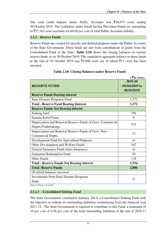The total credit balance under Public Accounts was  $\overline{\xi}38,973$  crore ending 30 October 2019. The Liabilities under Small Saving Provident Funds etc amounting to `27,162 crore accounts for 69.69 *per cent* of total Public Accounts liability.

# *2.5.2 Reserve Funds*

Reserve Funds are created for specific and defined purposes under the Public Accounts of the State Government. These funds are met from contributions or grants from the Consolidated Fund of the State. **Table 2.18** shows the closing balances in various reserve funds as on 30 October 2019. The cumulative aggregate balance in these funds at the end of 30 October 2019 was  $\bar{\mathfrak{Z}}2.806$  crore out of which  $\bar{\mathfrak{Z}}11$  crore has been invested.

|                                                            | $( \bar{\mathbf{z}}$ in crore) |
|------------------------------------------------------------|--------------------------------|
|                                                            | 2019-20                        |
| <b>RESERVE FUNDS</b>                                       | $(01/04/2019)$ to              |
|                                                            | 30/10/2019)                    |
| <b>Reserve Funds Bearing interest</b>                      |                                |
| <b>State Disaster Response Fund</b>                        | 1,272                          |
| <b>Total - Reserve Fund Bearing Interest</b>               | 1,272                          |
| <b>Reserve Funds Not Bearing interest</b>                  |                                |
| Sinking fund                                               | 356                            |
| <b>Famine Relief Fund</b>                                  | 9                              |
| Depreciation and Renewal Reserve Funds of Govt. Commercial | 573                            |
| Deptts./Undertakings                                       |                                |
| Depreciation and Renewal Reserve Funds of Govt. Non-       | 73                             |
| Commercial Deptts.                                         |                                |
| Development Fund for Agricultural Purposes                 | 41                             |
| Other Development and Welfare Funds                        | 167                            |
| General Insurance Fund (Janta Insurance)                   | 41                             |
| <b>Guarantee Redemption Fund</b>                           | 20                             |
| <b>Other Funds</b>                                         | 118                            |
| <b>Total - Reserve Funds Not Bearing interest</b>          | 1,534                          |
| <b>Total -Reserve Funds</b>                                | 2,806                          |
| Of which balances invested                                 |                                |
| <b>Investments from State Disaster Response</b>            | 11                             |
| Fund                                                       |                                |
| ouroo Finanoo Acoounta                                     |                                |

# **Table 2.18: Closing Balances under Reserve Funds**

*Source: Finance Accounts* 

# *2.5.2.1 Consolidated Sinking Fund*

The State Government constituted (January 2012) a Consolidated Sinking Fund with the objective to redeem its outstanding liabilities commencing from the financial year 2011-12. The State Government is required to contribute to this Fund, a minimum of 10 *per cent* of 0.50 *per cent* of the total outstanding liabilities at the end of 2010-11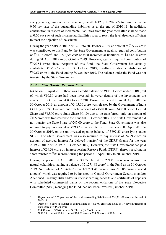every year beginning with the financial year 2011-12 up to 2021-22 to make it equal to 0.50 *per cent* of the outstanding liabilities as at the end of 2010-11. In addition, contribution in respect of incremental liabilities from the year thereafter shall be made at 0.50 *per cent* of such incremental liabilities so as to reach the level deemed sufficient to meet the objective of the scheme.

During the year 2019-20 (01 April 2019 to 30 October 2019), an amount of  $\overline{5}39.27$  crore was contributed to this Fund by the State Government as against required contribution of  $\overline{5}31.33$  crore<sup>3</sup> and 0.50 *per cent* of total incremental liabilities of  $\overline{5}4,442.26$  crore during 01 April 2019 to 30 October 2019. However, against required contribution of  $\overline{\xi}$ 395.54 crore since inception of this fund, the State Government has actually contributed  $\overline{5}355.87$  crore till 30 October 2019, resulting in short contribution of  $\bar{\mathcal{L}}$ 39.67 crore to the Fund ending 30 October 2019. The balance under the Fund was not invested by the State Government.

# *2.5.2.2 State Disaster Response Fund*

(a) As on 01 April 2019, there was a credit balance of  $\text{\textsterling}903.11$  crore under SDRF, out of which  $\bar{\tau}$ 10.86 crore had been invested, however details of the investments are awaited from Government (October 2020). During the period from 01 April 2019 to 30 October 2019, an amount of  $\text{\textsterling}405.00$  crore was released by the Government of India (30 July 2019). However, out of total amount of  $\overline{5}450.00$  crore ( $\overline{5}405.00$  crore Central Share and  $\bar{z}$ 45.00 crore State Share 90:10) due to be transferred, only an amount of  $\bar{z}$ 405 crore was transferred to the Fund till 30 October 2019. The State Government did not transfer the State Share of  $\bar{z}$ 45.00 crore to the Fund. State Government was also required to pay an amount of  $\overline{5}29.47$  crore as interest for the period 01 April 2019 to 30 October 2019, on the un-invested opening balance of  $\overline{5892.25}$  crore lying under SDRF. The State Government was also required to pay interest of  $\overline{5}4.99$  crore on account of accrued interest for delayed transfer<sup>4</sup> of the SDRF Grants for the year 2019-20 (01 April 2019 to 30 October 2019). However, the State Government had paid interest of  $\overline{5}34.38$  crore on interest bearing Reserve Funds (SDRF), thereby resulting in short transfer of  $\overline{5}0.08$  crore<sup>5</sup> during the period 01 April 2019 to 30 October 2019.

During the period 01 April 2019 to 30 October 2019,  $\overline{5}71.01$  crore was incurred on natural calamities, leaving a balance of  $\bar{\mathcal{F}}1,271.48$  crore<sup>6</sup> in the Fund as on 30 October 2019. Net balance of  $\bar{\mathfrak{z}}1,260.62$  crore ( $\bar{\mathfrak{z}}1,271.48$  crore minus  $\bar{\mathfrak{z}}10.86$  crore invested amount) which was required to be invested in Central Government Securities and/or Auctioned Treasury Bills and/or in interest earning deposits and certificate of deposits with scheduled commercial banks on the recommendations of the State Executive Committee (SEC) managing the Fund, had not been invested (October 2019).

<sup>3</sup> <sup>10</sup>*per cent* of 0.50 *per cent* of the total outstanding liabilities of ₹31,261.01 crore at the end of 2010-11

<sup>4</sup> Delay of 76 days in transfer of central share of ₹405.00 crore and delay of 77 days in transfer of state share of ₹45.00 crore

<sup>5</sup> ₹34.46 crore (₹29.47 crore + ₹4.99 crore) - ₹34.38 crore

<sup>6</sup> ₹892.25 crore + ₹10.86 crore + ₹405.00 crore + ₹34.38 crore - ₹71.01 crore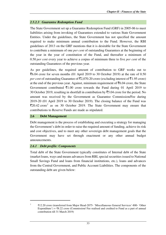# *2.5.2.3 Guarantee Redemption Fund*

The State Government set up a Guarantee Redemption Fund (GRF) in 2005-06 to meet liabilities arising from invoking of Guarantees extended to various State Government Entities. Under the guidelines, the State Government has not specified the amount required to make minimum annual contribution to the Fund. However, the RBI guidelines of 2013 on the GRF mentions that it is desirable for the State Government to contribute a minimum of one *per cent* of outstanding Guarantees at the beginning of the year in the year of constitution of the Fund, and thereafter a minimum of 0.50 *per cent* every year to achieve a corpus of minimum three to five *per cent* of the outstanding Guarantees of the previous year.

As per guidelines, the required amount of contribution to GRF works out to  $\text{\textsterling}6.04$  crore for seven months (01 April 2019 to 30 October 2019) at the rate of 0.50 *per cent* of outstanding Guarantee of  $\overline{22,070.20}$  crore (excluding interest of  $\overline{21.95}$  crore) at the end of the previous year. Against, minimum requirement of  $\bar{c}6.04$  crore, the State Government contributed  $\bar{\tau}1.00$  crore towards the Fund during 01 April 2019 to 30 October 2019, resulting in shortfall in contribution by  $\overline{5}5.04$  crore for the period. No amount was received by the Government as Guarantee Commission/Fee during 2019-20 (01 April 2019 to 30 October 2019). The closing balance of the Fund was  $\overline{2}20.42$  crore<sup>7</sup> as on 30 October 2019. The State Government may ensure that contributions to Reserve Funds are made as stipulated.

#### **2.6 Debt Management**

Debt management is the process of establishing and executing a strategy for managing the Government's debt in order to raise the required amount of funding, achieve its risk and cost objectives, and to meet any other sovereign debt management goals that the Government may have set through enactment or any other annual budget announcements.

#### *2.6.1 Debt profile: Components*

Total debt of the State Government typically constitutes of Internal debt of the State (market loans, ways and means advances from RBI, special securities issued to National Small Savings Fund and loans from financial institutions, etc.), loans and advances from the Central Government, and Public Account Liabilities. The components of the outstanding debt are given below:

<sup>7</sup> ₹12.20 crore (transferred from Major Head-2075- 'Miscellaneous General Services'-800- 'Other Expenditure') +  $\overline{\mathcal{R}}8.22$  crore (Commission/ Fee realised and credited to Fund as a part of annual contribution till 31 March 2019)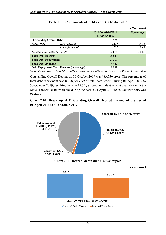|                                            |                       |                                        | $( \bar{\mathbf{z}}$ in crore) |
|--------------------------------------------|-----------------------|----------------------------------------|--------------------------------|
|                                            |                       | 2019-20 (01/04/2019<br>to $30/10/2019$ | <b>Percentage</b>              |
| <b>Outstanding Overall Debt</b>            |                       | 83,536                                 |                                |
| <b>Public Debt</b>                         | <b>Internal Debt</b>  | 45,429                                 | 54.38                          |
|                                            | <b>Loans from GoI</b> | 1,237                                  | 1.48                           |
| <b>Liabilities on Public Account*</b>      |                       | 36,870                                 | 44.14                          |
| <b>Total Debt Receipts</b>                 |                       | 25,643                                 |                                |
| <b>Total Debt Repayments</b>               |                       | 21,201                                 |                                |
| <b>Total Debt Available</b>                |                       | 4,442                                  |                                |
| Debt Repayments/Debt Receipts (percentage) |                       | 82.68                                  |                                |

# **Table 2.19: Components of debt as on 30 October 2019**

*Source : Finance Accounts , \* Liabilities on public account is excluding liabilities under Suspense and Misc and Remittance Head* 

Outstanding Overall Debt as on 30 October 2019 was  $\bar{\mathcal{R}}$ 83,536 crore. The percentage of total debt repayment was 82.68 *per cent* of total debt receipt during 01 April 2019 to 30 October 2019, resulting in only 17.32 *per cent* total debt receipt available with the State. The total debt available during the period 01 April 2019 to 30 October 2019 was  $\overline{5}4,442$  crore.

# **Chart 2.10: Break up of Outstanding Overall Debt at the end of the period 01 April 2019 to 30 October 2019**





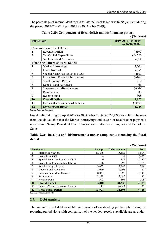The percentage of internal debt repaid to internal debt taken was 82.95 *per cent* during the period 2019-20 ( 01 April 2019 to 30 October 2019).

|                    |                                            | $( \bar{\mathbf{\xi}}$ in crore)      |
|--------------------|--------------------------------------------|---------------------------------------|
| <b>Particulars</b> |                                            | 2019-20 (01/04/2019<br>to 30/10/2019) |
|                    | <b>Composition of Fiscal Deficit</b>       |                                       |
|                    | Revenue Deficit                            | $(-)192$                              |
| $\overline{2}$     | Net Capital Expenditure                    | (-)4522                               |
| 3                  | Net Loans and Advances                     | $(-)14$                               |
|                    | <b>Financing Pattern of Fiscal Deficit</b> |                                       |
|                    | <b>Market Borrowings</b>                   | 3,504                                 |
| $\overline{2}$     | Loans from GOI                             | $(-)55$                               |
| 3                  | Special Securities issued to NSSF          | $-132$                                |
| $\overline{4}$     | <b>Loans from Financial Institutions</b>   | $(-)164$                              |
| 5                  | Small Savings, PF, etc.                    | 919                                   |
| 6                  | Deposits and Advances                      | 61                                    |
| 7                  | <b>Suspense and Miscellaneous</b>          | $(-)349$                              |
| 8                  | Remittances                                | 83                                    |
| 9                  | <b>Reserve Fund</b>                        | 308                                   |
| 10                 | <b>Overall Deficit</b>                     | 4,175                                 |
| 11                 | Increase/Decrease in cash balance          | $(+)$ 553                             |
| 12                 | <b>Gross Fiscal Deficit</b>                | $-)4,728$                             |

**Table 2.20: Components of fiscal deficit and its financing pattern**

*Source Finance Accounts* 

Fiscal deficit during 01 April 2019 to 30 October 2019 was  $\overline{5}4,728$  crore. It can be seen from the above table that the Market borrowings and excess of receipt over payments under Small Saving Provident Fund is major contributor in meeting Fiscal deficit of the State.

|         | Table 2.21: Receipts and Disbursements under components financing the fiscal |  |  |  |
|---------|------------------------------------------------------------------------------|--|--|--|
| deficit |                                                                              |  |  |  |

|                |                                                    |                |                     | $( \bar{\mathcal{F}}$ in crore) |
|----------------|----------------------------------------------------|----------------|---------------------|---------------------------------|
|                | <b>Particulars</b>                                 | <b>Receipt</b> | <b>Disbursement</b> | <b>Net</b>                      |
|                | <b>Market Borrowings</b>                           | 18,686         | 15,182              | 3,504                           |
| 2              | Loans from GOI                                     | 4              | 59                  | $(-)55$                         |
| 3              | Special Securities issued to NSSF                  | 0              | 132                 | $(-)132$                        |
| $\overline{4}$ | Loans from Financial Institutions                  | 128            | 292                 | $(-)164$                        |
| 5              | Small Savings, PF, etc.                            | 3,662          | 2,743               | 919                             |
| 6              | Deposits and Advances                              | 2,659          | 2,598               | 61                              |
|                | Suspense and Miscellaneous                         | 8,041          | 8,390               | $(-)349$                        |
| 8              | Remittances                                        | 2,128          | 2,045               | 83                              |
| 9              | Reserve Fund                                       | 502            | 194                 | 308                             |
| 10             | <b>Overall Deficit</b>                             | 35,810         | 31,635              | 4,175                           |
| 11             | Increase/Decrease in cash balance                  | 111            | (-)442              | 553                             |
| 12             | <b>Gross Fiscal Deficit</b><br>$\sigma$ $\Gamma$ 4 | 35,921         | 31,193              | 4,728                           |

*Source: Finance Accounts* 

#### **2.7. Debt Analysis**

The amount of net debt available and growth of outstanding public debt during the reporting period along with comparison of the net debt receipts available are as under: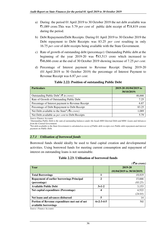- a) During the period 01 April 2019 to 30 October 2019 the net debt available was  $\bar{z}$ 1,089 crore.This was 5.79 *per cent* of public debt receipt of  $\bar{z}$ 18,819 crore during the period.
- b) Debt Repayments/Debt Receipts: During 01 April 2019 to 30 October 2019 the Debt repayment to Debt Receipts was 83.25 *per cent* resulting in only 16.75 *per cent* of debt receipts being available with the State Government.
- c) Rate of growth of outstanding debt (percent*age*): Outstanding Public debt at the beginning of the year 2019-20 was  $\overline{\xi}$ 43,513 crore which increased to `46,666 crore at the end of 30 October 2019 showing increase of 7.25 *per cent*.
- d) Percentage of Interest payment to Revenue Receipt: During 2019-20 (01 April 2019 to 30 October 2019) the percentage of Interest Payment to Revenue Receipt was 6.87 *per cent*.

| <b>Particulars</b>                                                            | 2019-20 (01/04/2019 to<br>30/10/2019) |
|-------------------------------------------------------------------------------|---------------------------------------|
| Outstanding Public Debt <sup>*</sup> ( $\bar{\tau}$ <i>in crore</i> )         | 46,666                                |
| Rate of Growth of Outstanding Public Debt                                     | 7.25                                  |
| Percentage of Interest payment to Revenue Receipt                             | 6.87                                  |
| Percentage of Debt Repayment to Debt Receipt                                  | 83.25                                 |
| Net Debt available to the State <sup>#</sup> ( $\bar{\tau}$ <i>in crore</i> ) | 1,089                                 |
| Net Debt available as <i>per cent</i> to Debt Receipts                        | 5.79                                  |
| <i>Source Finance Accounts</i>                                                |                                       |

#### **Table 2.22: Position of outstanding Public Debt**

*\*Outstanding Public Debt is the sum of outstanding balances under the heads 6003-Internal Debt and 6004- Loans and Advances from the Central Government.* 

*#Net debt available to the State Government is calculated as excess of Public debt receipts over Public debt repayment and interest payment on Public Debt.* 

#### *2.7.1 Utilisation of borrowed funds*

Borrowed funds should ideally be used to fund capital creation and developmental activities. Using borrowed funds for meeting current consumption and repayment of interest on outstanding loans is not sustainable.

# **Table 2.23: Utilisation of borrowed funds**

*(*` *in crore)*  **Year 2019-20 (01/04/2019 to 30/10/2019) Total Borrowings** 1 **1 1 1 18,819 Repayment of earlier borrowings Principal (percentage) 2** 15,666 *(83.25)*  **Available Public Debt** 3.153 **Net capital expenditure (Percentage) 4** 4,522 *(24.03)*  **Net loans and advances disbursed 5** 14 **Portion of Revenue expenditure met out of net available borrowings 6=2-3-4-5** Nil

*Source: Finance Accounts*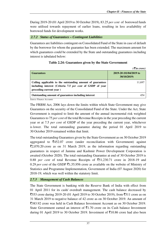During 2019-20 (01 April 2019 to 30 October 2019), 83.25 *per cent* of borrowed funds were utilised towards repayment of earlier loans, resulting in less availability of borrowed funds for development works.

# *2.7.2 Status of Guarantees – Contingent Liabilities*

Guarantees are liabilities contingent on Consolidated Fund of the State in case of default by the borrower for whom the guarantee has been extended. The maximum amount for which guarantees could be extended by the State and outstanding guarantees including interest is tabulated below:

|                                                                                                                                                    | $( \bar{\mathbf{z}}$ in crore)        |
|----------------------------------------------------------------------------------------------------------------------------------------------------|---------------------------------------|
| <b>Guarantees</b>                                                                                                                                  | 2019-20 (01/04/2019 to<br>30/10/2019) |
| Ceiling applicable to the outstanding amount of guarantees<br>including interest (Criteria 7.5 per cent of GSDP of year<br>preceding current year) | 11,697                                |
| Outstanding amount of guarantees including interest                                                                                                | 454                                   |

# **Table 2.24: Guarantees given by the State Government**

*Source Finance Accounts* 

The FRBM Act, 2006 lays down the limits within which State Government may give Guarantees on the security of the Consolidated Fund of the State. Under the Act, State Government is required to limit the amount of the annual incremental risk weighted Guarantees to 75 *per cent* of the total Revenue Receipts in the year preceding the current year or at 7.5 *per cent* of GSDP of the year preceding the current year, whichever is lower. The total outstanding guarantee during the period 01 April 2019 to 30 October 2019 remained within that limit.

The total outstanding Guarantees given by the State Government as on 30 October 2019 aggregated to  $\overline{\xi}$ 452.07 crore (under reconciliation with Government) against  $\overline{2}2,070.20$  crore as on 31 March 2019, as the information regarding outstanding guarantees in respect of Jammu and Kashmir Power Development Corporation is awaited (October 2020). The total outstanding Guarantee at end of 30 October 2019 is 0.88 *per cent* of total Revenue Receipts of `51,230.71 crore in 2018-19 and 0.29 *per cent* of the GSDP  $\bar{z}$ 1,55,956 crore as available on the website of Ministry of Statistics and Programme Implementation, Government of India (07 August 2020) for 2018-19, which was well within the statutory limit.

# *2.7.3 Management of Cash Balances*

The State Government is banking with the Reserve Bank of India with effect from 01 April 2011 for its cash/ overdraft management. The cash balance decreased by  $\overline{553}$  crore during 2019-20 (01 April 2019 to 30 October 2019), from  $\overline{5511}$  crore as on 31 March 2019 to negative balance of 42 crore as on 30 October 2019. An amount of `383.92 crore was held in Cash Balance Investment Account as on 30 October 2019. State Government earned an interest of  $\bar{\tau}1.70$  crore on its Cash balance Investment during 01 April 2019 to 30 October 2019. Investment of  $\overline{5}10.86$  crore had also been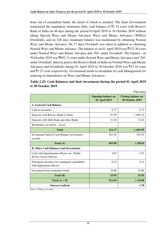done out of earmarked funds, the detail of which is awaited. The State Government maintained the mandatory minimum daily cash balance of  $\bar{\tau}$ 1.14 crore with Reserve Bank of India on 48 days during the period 01April 2019 to 30 October 2019 without taking Special Ways and Means Advance/ Ways and Means Advances (WMA)/ Overdrafts, and on 148 days minimum balance was maintained by obtaining Normal Ways and Means Advance. On 17 days Overdraft was taken in addition to obtaining Normal Ways and Means Advance. The balance as on 01 April 2019 was  $\overline{5}32.38$  crore under Normal Ways and Means Advance and 'Nil' under Overdraft. The balance on 30 October 2019 was  $\text{\textsterling}692.11$  crore under Normal Ways and Means Advances and 'Nil' under Overdraft. Interest paid to the Reserve Bank of India on Normal Ways and Means Advances and Overdrafts during 01 April 2019 to 30 October 2019 was  $\bar{\tau}$ 15.16 crore and  $\bar{\mathcal{F}}$ 1.27 crore respectively. Government needs to streamline its cash Management for reducing its dependence on Ways and Means Advances.

# **Table 2.25: Cash Balances and their investment during the period 01 April 2019 to 30 October 2019**

|                                                                           |                                            | $( \bar{\tau}$ in crore)                            |
|---------------------------------------------------------------------------|--------------------------------------------|-----------------------------------------------------|
|                                                                           | <b>Opening balance on</b><br>01 April 2019 | <b>Closing balance on</b><br><b>30 October 2019</b> |
| A. General Cash Balance                                                   |                                            |                                                     |
| Cash in treasuries                                                        | 6.77                                       | 6.77                                                |
| Deposits with Reserve Bank of India                                       | 83.38                                      | $(-)469.74$                                         |
| Deposits with J&K Bank and other Banks                                    | 21.02                                      | 21.02                                               |
| Remittances in transit – Local                                            |                                            |                                                     |
| <b>Total</b>                                                              | 111.17                                     | $(-)441.95$                                         |
| Investments held in Cash Balance investment<br>account                    | 383.92                                     | 383.92                                              |
| Total (A)                                                                 | 495.09                                     | $(-)58.03$                                          |
| <b>B. Other Cash Balances and Investments</b>                             |                                            |                                                     |
| Cash with departmental officers viz., Public<br>Works, Forest Officers    | 4.97                                       | 4.97                                                |
| Permanent advances for contingent expenditure<br>with department officers | 0.12                                       | 0.12                                                |
| Investment from earmarked funds                                           | 10.86                                      | 10.86                                               |
| Total (B)                                                                 | 15.95                                      | 15.95                                               |
| Total $(A + B)$                                                           | 511.04                                     | $(-)42.08$                                          |
| <b>Interest realised</b>                                                  |                                            | 1.70                                                |

*Source: Finance Accounts*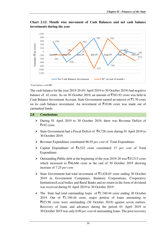576 -576  $\begin{pmatrix} 0 \\ \text{un-19} \end{pmatrix}$ 762 -763 102  $Oct-19^{102}$ -161 -186 554 -937 745  $e^{59}$ -510 -1200 -1000  $-800$ -600 -400 -200  $\Omega$ 200 400 600 800 1000 **Apr-19 May-19 Jun-19 Jul-19 Aug-19 Sep-19 Oct-19 Amount (** ` **in crore) Net Cash Balance Investment CB\*** (at end of month)

**Chart 2.12: Month wise movement of Cash Balances and net cash balance investments during the year** 

*\*Cash balance with RBI* 

The cash balance for the year 2019-20 (01 April 2019 to 30 October 2019) had negative balance of 42 crore. As on 30 October 2019, an amount of  $\overline{5}383.92$  crore was held in Cash Balance Investment Account. State Government earned an interest of  $\bar{z}1.70$  crore on its cash balance investment. An investment of  $\overline{5}10.86$  crore was made out of earmarked funds.

## **2.8 Conclusions**

- During 01 April 2019 to 30 October 2019, there was Revenue Deficit of  $\overline{5}192$  crore.
- State Government had a Fiscal Deficit of  $\bar{z}$ 4,728 crore during 01 April 2019 to 30 October 2019.
- Revenue Expenditure constituted 86.95 *per cent* of Total Expenditure.
- $\triangleright$  Capital Expenditure of  $\overline{54,522}$  crore constituted 13 *per cent* of Total Expenditure.
- $\triangleright$  Outstanding Public debt at the beginning of the year 2019-20 was  $\bar{\xi}$ 43,513 crore which increased to  $\overline{546,666}$  crore at the end of 30 October 2019 showing increase of 7.25 *per cent*.
- State Government had total investment of  $\overline{53,428.03}$  crore ending 30 October 2019 in Government Companies, Statutory Corporations, Cooperative Institutions/Local bodies and Rural Banks and no return in the form of dividend was received during 01 April 2019 to 30 October 2019.
- $\triangleright$  The State had total outstanding loans of  $\overline{5}1,740.44$  crore ending 30 October 2019. Out of  $\bar{\mathfrak{e}}$ 1,740.44 crore, major portion of loans amounting to `923.96 crore were outstanding (30 October 2019) against seven entities. Recovery of loans and advances during the period 01 April 2019 to 30 October 2019 was only 0.09 *per cent* of outstanding loans. The poor recovery